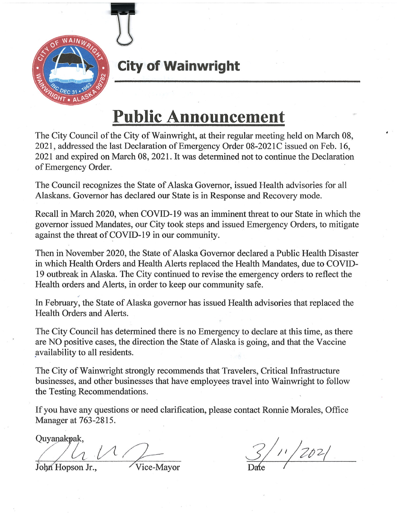

# **City of Wainwright**

# **Public Announcement**

The City Council of the City of Wainwright, at their regular meeting held on March 08, 2021, addressed the last Declaration of Emergency Order 08-2021C issued on Feb. 16, 2021 and expired on March 08, 2021. It was determined not to continue the Declaration of Emergency Order.

The Council recognizes the State of Alaska Governor, issued Health advisories for all Alaskans. Governor has declared our State is in Response and Recovery mode.

Recall in March 2020, when COVID-19 was an imminent threat to our State in which the governor issued Mandates, our City took steps and issued Emergency Orders, to mitigate against the threat of COVID-19 in our community.

Then in November 2020, the State of Alaska Governor declared a Public Health Disaster in which Health Orders and Health Alerts replaced the Health Mandates, due to COVID-19 outbreak in Alaska. The City continued to revise the emergency orders to reflect the Health orders and Alerts, in order to keep our community safe.

In February, the State of Alaska governor has issued Health advisories that replaced the Health Orders and Alerts.

The City Council has determined there is no Emergency to declare at this time, as there are NO positive cases, the direction the State of Alaska is going, and that the Vaccine availability to all residents.

The City of Wainwright strongly recommends that Travelers, Critical Infrastructure businesses, and other businesses that have employees travel into Wainwright to follow the Testing Recommendations.

If you have any questions or need clarification, please contact Ronnie Morales, Office Manager at 763-2815.

Quyanakpak,

 $\frac{1}{\sqrt{1-\frac{1}{2}}}$   $\frac{1}{\sqrt{1-\frac{1}{2}}}$   $\frac{1}{\sqrt{1-\frac{1}{2}}}$ 

 $3/1/202/$ 

John Hopson Jr.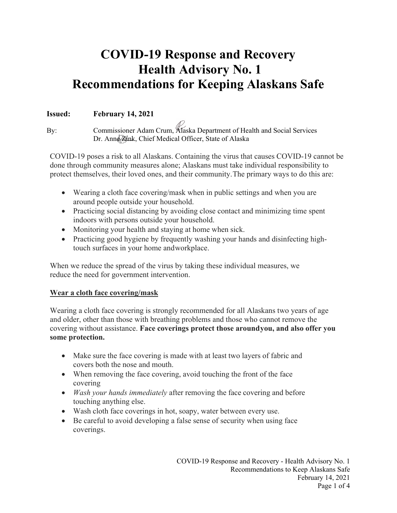# **COVID-19 Response and Recovery Health Advisory No. 1 Recommendations for Keeping Alaskans Safe**

# **Issued: February 14, 2021**

By: Commissioner Adam Crum, Alaska Department of Health and Social Services Dr. Anne Zink, Chief Medical Officer, State of Alaska

COVID-19 poses a risk to all Alaskans. Containing the virus that causes COVID-19 cannot be done through community measures alone; Alaskans must take individual responsibility to protect themselves, their loved ones, and their community.The primary ways to do this are:

- Wearing a cloth face covering/mask when in public settings and when you are around people outside your household.
- Practicing social distancing by avoiding close contact and minimizing time spent indoors with persons outside your household.
- Monitoring your health and staying at home when sick.
- Practicing good hygiene by frequently washing your hands and disinfecting hightouch surfaces in your home andworkplace.

When we reduce the spread of the virus by taking these individual measures, we reduce the need for government intervention.

# **Wear a cloth face covering/mask**

Wearing a cloth face covering is strongly recommended for all Alaskans two years of age and older, other than those with breathing problems and those who cannot remove the covering without assistance. **Face coverings protect those aroundyou, and also offer you some protection.**

- Make sure the face covering is made with at least two layers of fabric and covers both the nose and mouth.
- When removing the face covering, avoid touching the front of the face covering
- *Wash your hands immediately* after removing the face covering and before touching anything else.
- Wash cloth face coverings in hot, soapy, water between every use.
- Be careful to avoid developing a false sense of security when using face coverings.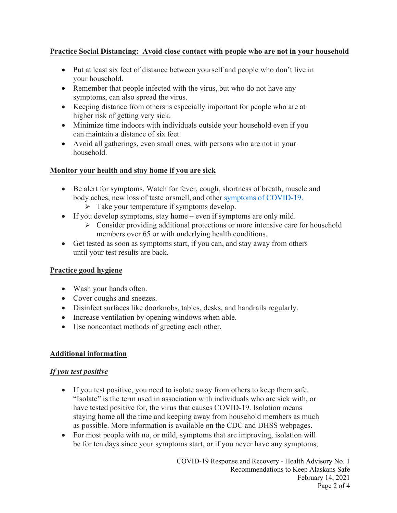# **Practice Social Distancing: Avoid close contact with people who are not in your household**

- Put at least six feet of distance between yourself and people who don't live in your household.
- Remember that people infected with the virus, but who do not have any symptoms, can also spread the virus.
- Keeping distance from others is especially important for people who are at higher risk of getting very sick.
- Minimize time indoors with individuals outside your household even if you can maintain a distance of six feet.
- Avoid all gatherings, even small ones, with persons who are not in your household.

#### **Monitor your health and stay home if you are sick**

- Be alert for symptoms. Watch for fever, cough, shortness of breath, muscle and body aches, new loss of taste orsmell, and other symptoms [of COVID-19.](https://www.cdc.gov/coronavirus/2019-ncov/symptoms-testing/symptoms.html)
	- $\triangleright$  Take your temperature if symptoms develop.
- If you develop symptoms, stay home even if symptoms are only mild.
	- $\triangleright$  Consider providing additional protections or more intensive care for household members over 65 or with underlying health conditions.
- Get tested as soon as symptoms start, if you can, and stay away from others until your test results are back.

# **Practice good hygiene**

- Wash your hands often.
- Cover coughs and sneezes.
- Disinfect surfaces like doorknobs, tables, desks, and handrails regularly.
- Increase ventilation by opening windows when able.
- Use noncontact methods of greeting each other.

# **Additional information**

#### *If you test positive*

- If you test positive, you need to isolate away from others to keep them safe. "Isolate" is the term used in association with individuals who are sick with, or have tested positive for, the virus that causes COVID-19. Isolation means staying home all the time and keeping away from household members as much as possible. More information is available on the CDC and DHSS webpages.
- For most people with no, or mild, symptoms that are improving, isolation will be for ten days since your symptoms start, or if you never have any symptoms,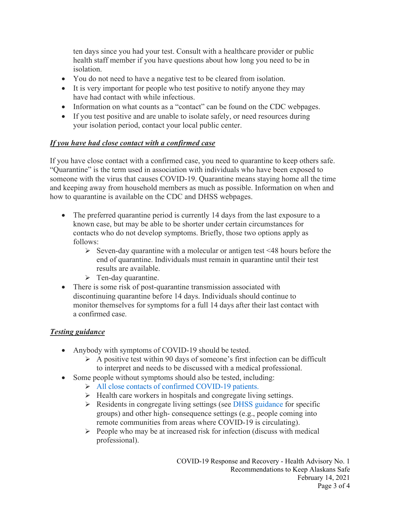ten days since you had your test. Consult with a healthcare provider or public health staff member if you have questions about how long you need to be in isolation.

- You do not need to have a negative test to be cleared from isolation.
- It is very important for people who test positive to notify anyone they may have had contact with while infectious.
- Information on what counts as a "contact" can be found on the CDC webpages.
- If you test positive and are unable to isolate safely, or need resources during your isolation period, contact your local public center.

# *If you have had close contact with a confirmed case*

If you have close contact with a confirmed case, you need to quarantine to keep others safe. "Quarantine" is the term used in association with individuals who have been exposed to someone with the virus that causes COVID-19. Quarantine means staying home all the time and keeping away from household members as much as possible. Information on when and how to quarantine is available on the CDC and DHSS webpages.

- The preferred quarantine period is currently 14 days from the last exposure to a known case, but may be able to be shorter under certain circumstances for contacts who do not develop symptoms. Briefly, those two options apply as follows:
	- $\triangleright$  Seven-day quarantine with a molecular or antigen test <48 hours before the end of quarantine. Individuals must remain in quarantine until their test results are available.
	- $\triangleright$  Ten-day quarantine.
- There is some risk of post-quarantine transmission associated with discontinuing quarantine before 14 days. Individuals should continue to monitor themselves for symptoms for a full 14 days after their last contact with a confirmed case.

# *Testing guidance*

- Anybody with symptoms of COVID-19 should be tested.
	- $\triangleright$  A positive test within 90 days of someone's first infection can be difficult to interpret and needs to be discussed with a medical professional.
- Some people without symptoms should also be tested, including:
	- All [close contacts](https://www.cdc.gov/coronavirus/2019-ncov/hcp/testing-overview.html) of confirmed COVID-19 patients.
	- $\triangleright$  Health care workers in hospitals and congregate living settings.
	- $\triangleright$  Residents in congregate living settings (see [DHSS guidance f](http://dhss.alaska.gov/dph/Epi/id/SiteAssets/Pages/HumanCoV/COVID-19_Guidance_congregateResidentialsettings.pdf)or specific groups) and other high- consequence settings (e.g., people coming into remote communities from areas where COVID-19 is circulating).
	- $\triangleright$  People who may be at increased risk for infection (discuss with medical professional).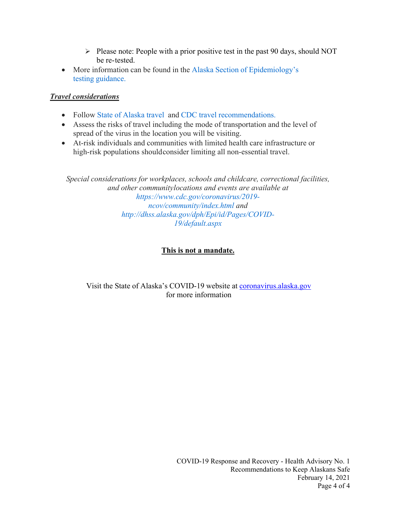- $\triangleright$  Please note: People with a prior positive test in the past 90 days, should NOT be re-tested.
- More information can be found in the Alaska Section of [Epidemiology's](http://dhss.alaska.gov/dph/Epi/id/SiteAssets/Pages/HumanCoV/AKCOVIDTestingGuidance.pdf) testing [guidance.](http://dhss.alaska.gov/dph/Epi/id/SiteAssets/Pages/HumanCoV/AKCOVIDTestingGuidance.pdf)

# *Travel considerations*

- Follow State of [Alaska travel](https://covid19.alaska.gov/travelers/) and CDC travel [recommendations.](https://www.cdc.gov/coronavirus/2019-ncov/travelers/travel-during-covid19.html)
- Assess the risks of travel including the mode of transportation and the level of spread of the virus in the location you will be visiting.
- At-risk individuals and communities with limited health care infrastructure or high-risk populations shouldconsider limiting all non-essential travel.

*Special considerations for workplaces, schools and childcare, correctional facilities, and other communitylocations and events are available at [https://www.cdc.gov/coronavirus/2019](https://www.cdc.gov/coronavirus/2019-ncov/community/index.html) [ncov/community/index.html a](https://www.cdc.gov/coronavirus/2019-ncov/community/index.html)nd [http://dhss.alaska.gov/dph/Epi/id/Pages/COVID-](http://dhss.alaska.gov/dph/Epi/id/Pages/COVID-19/default.aspx)[19/default.aspx](http://dhss.alaska.gov/dph/Epi/id/Pages/COVID-19/default.aspx)*

# **This is not a mandate.**

#### Visit the State of Alaska's COVID-19 website at [coronavirus.alaska.gov](http://coronavirus.alaska.gov/) for more information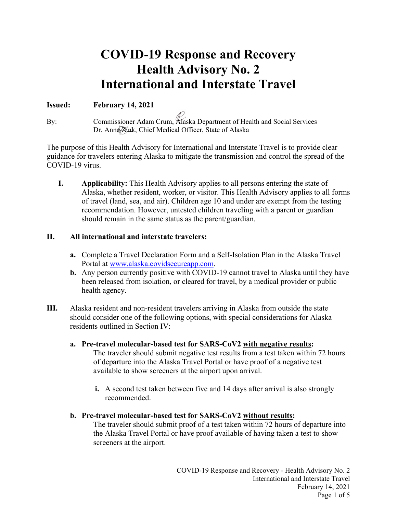# **COVID-19 Response and Recovery Health Advisory No. 2 International and Interstate Travel**

#### **Issued: February 14, 2021**

By: Commissioner Adam Crum, Alaska Department of Health and Social Services Dr. Anne Zink, Chief Medical Officer, State of Alaska

The purpose of this Health Advisory for International and Interstate Travel is to provide clear guidance for travelers entering Alaska to mitigate the transmission and control the spread of the COVID-19 virus.

**I. Applicability:** This Health Advisory applies to all persons entering the state of Alaska, whether resident, worker, or visitor. This Health Advisory applies to all forms of travel (land, sea, and air). Children age 10 and under are exempt from the testing recommendation. However, untested children traveling with a parent or guardian should remain in the same status as the parent/guardian.

#### **II. All international and interstate travelers:**

- **a.** Complete a Travel Declaration Form and a Self-Isolation Plan in the Alaska Travel Portal at [www.alaska.covidsecureapp.com.](http://www.alaska.covidsecureapp.com/)
- **b.** Any person currently positive with COVID-19 cannot travel to Alaska until they have been released from isolation, or cleared for travel, by a medical provider or public health agency.
- **III.** Alaska resident and non-resident travelers arriving in Alaska from outside the state should consider one of the following options, with special considerations for Alaska residents outlined in Section IV:
	- **a. Pre-travel molecular-based test for SARS-CoV2 with negative results:** The traveler should submit negative test results from a test taken within 72 hours of departure into the Alaska Travel Portal or have proof of a negative test available to show screeners at the airport upon arrival.
		- **i.** A second test taken between five and 14 days after arrival is also strongly recommended.
	- **b. Pre-travel molecular-based test for SARS-CoV2 without results:** The traveler should submit proof of a test taken within 72 hours of departure into the Alaska Travel Portal or have proof available of having taken a test to show screeners at the airport.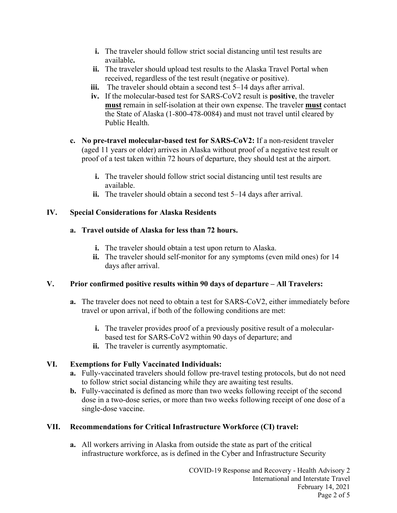- **i.** The traveler should follow strict social distancing until test results are available**.**
- **ii.** The traveler should upload test results to the Alaska Travel Portal when received, regardless of the test result (negative or positive).
- **iii.** The traveler should obtain a second test 5–14 days after arrival.
- **iv.** If the molecular-based test for SARS-CoV2 result is **positive**, the traveler **must** remain in self-isolation at their own expense. The traveler **must** contact the State of Alaska (1-800-478-0084) and must not travel until cleared by Public Health.
- **c. No pre-travel molecular-based test for SARS-CoV2:** If a non-resident traveler (aged 11 years or older) arrives in Alaska without proof of a negative test result or proof of a test taken within 72 hours of departure, they should test at the airport.
	- **i.** The traveler should follow strict social distancing until test results are available.
	- **ii.** The traveler should obtain a second test 5–14 days after arrival.

#### **IV. Special Considerations for Alaska Residents**

#### **a. Travel outside of Alaska for less than 72 hours.**

- **i.** The traveler should obtain a test upon return to Alaska.
- **ii.** The traveler should self-monitor for any symptoms (even mild ones) for 14 days after arrival.

# **V. Prior confirmed positive results within 90 days of departure – All Travelers:**

- **a.** The traveler does not need to obtain a test for SARS-CoV2, either immediately before travel or upon arrival, if both of the following conditions are met:
	- **i.** The traveler provides proof of a previously positive result of a molecularbased test for SARS-CoV2 within 90 days of departure; and
	- **ii.** The traveler is currently asymptomatic.

# **VI. Exemptions for Fully Vaccinated Individuals:**

- **a.** Fully-vaccinated travelers should follow pre-travel testing protocols, but do not need to follow strict social distancing while they are awaiting test results.
- **b.** Fully-vaccinated is defined as more than two weeks following receipt of the second dose in a two-dose series, or more than two weeks following receipt of one dose of a single-dose vaccine.

# **VII. Recommendations for Critical Infrastructure Workforce (CI) travel:**

**a.** All workers arriving in Alaska from outside the state as part of the critical infrastructure workforce, as is defined in the Cyber and Infrastructure Security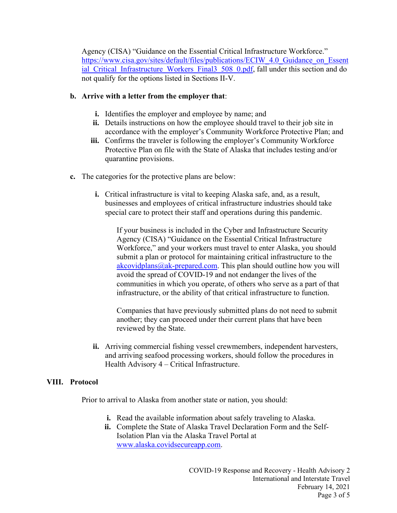Agency (CISA) "Guidance on the Essential Critical Infrastructure Workforce." https://www.cisa.gov/sites/default/files/publications/ECIW 4.0 Guidance on Essent ial Critical Infrastructure Workers Final3 508 0.pdf, fall under this section and do not qualify for the options listed in Sections II-V.

#### **b. Arrive with a letter from the employer that**:

- **i.** Identifies the employer and employee by name; and
- **ii.** Details instructions on how the employee should travel to their job site in accordance with the employer's Community Workforce Protective Plan; and
- **iii.** Confirms the traveler is following the employer's Community Workforce Protective Plan on file with the State of Alaska that includes testing and/or quarantine provisions.
- **c.** The categories for the protective plans are below:
	- **i.** Critical infrastructure is vital to keeping Alaska safe, and, as a result, businesses and employees of critical infrastructure industries should take special care to protect their staff and operations during this pandemic.

If your business is included in the Cyber and Infrastructure Security Agency (CISA) "Guidance on the Essential Critical Infrastructure Workforce," and your workers must travel to enter Alaska, you should submit a plan or protocol for maintaining critical infrastructure to the  $akcovidplans@ak-prepared.com. This plan should outline how you will$  $akcovidplans@ak-prepared.com. This plan should outline how you will$ avoid the spread of COVID-19 and not endanger the lives of the communities in which you operate, of others who serve as a part of that infrastructure, or the ability of that critical infrastructure to function.

Companies that have previously submitted plans do not need to submit another; they can proceed under their current plans that have been reviewed by the State.

**ii.** Arriving commercial fishing vessel crewmembers, independent harvesters, and arriving seafood processing workers, should follow the procedures in Health Advisory 4 – Critical Infrastructure.

#### **VIII. Protocol**

Prior to arrival to Alaska from another state or nation, you should:

- **i.** Read the available information about safely traveling to Alaska.
- **ii.** Complete the State of Alaska Travel Declaration Form and the Self-Isolation Plan via the Alaska Travel Portal at www.alaska.covidsecureapp.com.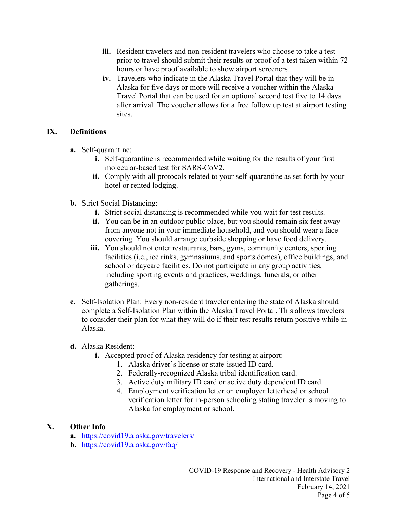- **iii.** Resident travelers and non-resident travelers who choose to take a test prior to travel should submit their results or proof of a test taken within 72 hours or have proof available to show airport screeners.
- **iv.** Travelers who indicate in the Alaska Travel Portal that they will be in Alaska for five days or more will receive a voucher within the Alaska Travel Portal that can be used for an optional second test five to 14 days after arrival. The voucher allows for a free follow up test at airport testing sites.

#### **IX. Definitions**

- **a.** Self-quarantine:
	- **i.** Self-quarantine is recommended while waiting for the results of your first molecular-based test for SARS-CoV2.
	- **ii.** Comply with all protocols related to your self-quarantine as set forth by your hotel or rented lodging.
- **b.** Strict Social Distancing:
	- **i.** Strict social distancing is recommended while you wait for test results.
	- **ii.** You can be in an outdoor public place, but you should remain six feet away from anyone not in your immediate household, and you should wear a face covering. You should arrange curbside shopping or have food delivery.
	- **iii.** You should not enter restaurants, bars, gyms, community centers, sporting facilities (i.e., ice rinks, gymnasiums, and sports domes), office buildings, and school or daycare facilities. Do not participate in any group activities, including sporting events and practices, weddings, funerals, or other gatherings.
- **c.** Self-Isolation Plan: Every non-resident traveler entering the state of Alaska should complete a Self-Isolation Plan within the Alaska Travel Portal. This allows travelers to consider their plan for what they will do if their test results return positive while in Alaska.
- **d.** Alaska Resident:
	- **i.** Accepted proof of Alaska residency for testing at airport:
		- 1. Alaska driver's license or state-issued ID card.
		- 2. Federally-recognized Alaska tribal identification card.
		- 3. Active duty military ID card or active duty dependent ID card.
		- 4. Employment verification letter on employer letterhead or school verification letter for in-person schooling stating traveler is moving to Alaska for employment or school.

#### **X. Other Info**

- **a.** <https://covid19.alaska.gov/travelers/>
- **b.** <https://covid19.alaska.gov/faq/>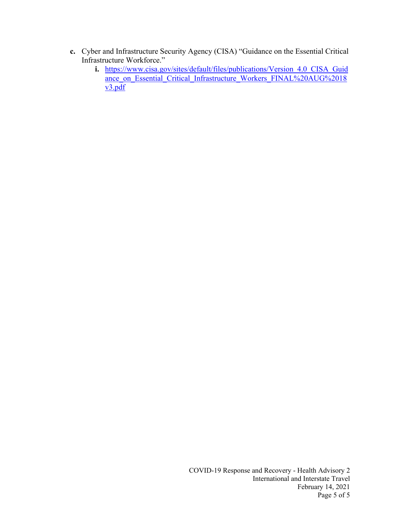- **c.** Cyber and Infrastructure Security Agency (CISA) "Guidance on the Essential Critical Infrastructure Workforce."
	- **i.** [https://www.cisa.gov/sites/default/files/publications/Version\\_4.0\\_CISA\\_Guid](https://www.cisa.gov/sites/default/files/publications/Version_4.0_CISA_Guidance_on_Essential_Critical_Infrastructure_Workers_FINAL%20AUG%2018v3.pdf) ance on Essential Critical Infrastructure Workers FINAL%20AUG%2018  $v3.pdf$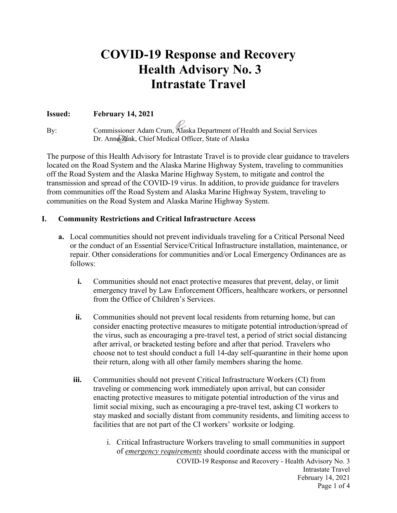# **COVID-19 Response and Recovery Health Advisory No. 3 Intrastate Travel**

#### **Issued: February 14, 2021**

By: Commissioner Adam Crum, Alaska Department of Health and Social Services Dr. Anne Zúnk, Chief Medical Officer, State of Alaska

The purpose of this Health Advisory for Intrastate Travel is to provide clear guidance to travelers located on the Road System and the Alaska Marine Highway System, traveling to communities off the Road System and the Alaska Marine Highway System, to mitigate and control the transmission and spread of the COVID-19 virus. In addition, to provide guidance for travelers from communities off the Road System and Alaska Marine Highway System, traveling to communities on the Road System and Alaska Marine Highway System.

#### **I. Community Restrictions and Critical Infrastructure Access**

- **a.** Local communities should not prevent individuals traveling for a Critical Personal Need or the conduct of an Essential Service/Critical Infrastructure installation, maintenance, or repair. Other considerations for communities and/or Local Emergency Ordinances are as follows:
	- **i.** Communities should not enact protective measures that prevent, delay, or limit emergency travel by Law Enforcement Officers, healthcare workers, or personnel from the Office of Children's Services.
	- **ii.** Communities should not prevent local residents from returning home, but can consider enacting protective measures to mitigate potential introduction/spread of the virus, such as encouraging a pre-travel test, a period of strict social distancing after arrival, or bracketed testing before and after that period. Travelers who choose not to test should conduct a full 14-day self-quarantine in their home upon their return, along with all other family members sharing the home.
	- **iii.** Communities should not prevent Critical Infrastructure Workers (CI) from traveling or commencing work immediately upon arrival, but can consider enacting protective measures to mitigate potential introduction of the virus and limit social mixing, such as encouraging a pre-travel test, asking CI workers to stay masked and socially distant from community residents, and limiting access to facilities that are not part of the CI workers' worksite or lodging.
		- COVID-19 Response and Recovery Health Advisory No. 3 Intrastate Travel February 14, 2021 Page 1 of 4 i. Critical Infrastructure Workers traveling to small communities in support of *emergency requirements* should coordinate access with the municipal or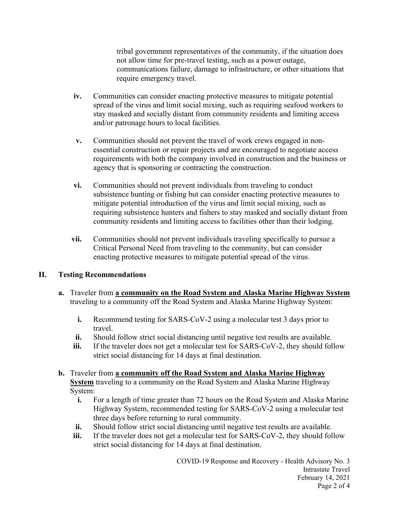tribal government representatives of the community, if the situation does not allow time for pre-travel testing, such as a power outage, communications failure, damage to infrastructure, or other situations that require emergency travel.

- **iv.** Communities can consider enacting protective measures to mitigate potential spread of the virus and limit social mixing, such as requiring seafood workers to stay masked and socially distant from community residents and limiting access and/or patronage hours to local facilities.
- **v.** Communities should not prevent the travel of work crews engaged in nonessential construction or repair projects and are encouraged to negotiate access requirements with both the company involved in construction and the business or agency that is sponsoring or contracting the construction.
- **vi.** Communities should not prevent individuals from traveling to conduct subsistence hunting or fishing but can consider enacting protective measures to mitigate potential introduction of the virus and limit social mixing, such as requiring subsistence hunters and fishers to stay masked and socially distant from community residents and limiting access to facilities other than their lodging.
- **vii.** Communities should not prevent individuals traveling specifically to pursue a Critical Personal Need from traveling to the community, but can consider enacting protective measures to mitigate potential spread of the virus.

# **II. Testing Recommendations**

- **a.** Traveler from **a community on the Road System and Alaska Marine Highway System** traveling to a community off the Road System and Alaska Marine Highway System:
	- **i.** Recommend testing for SARS-CoV-2 using a molecular test 3 days prior to travel.
	- **ii.** Should follow strict social distancing until negative test results are available.
	- **iii.** If the traveler does not get a molecular test for SARS-CoV-2, they should follow strict social distancing for 14 days at final destination.
- **b.** Traveler from **a community off the Road System and Alaska Marine Highway System** traveling to a community on the Road System and Alaska Marine Highway System:
	- **i.** For a length of time greater than 72 hours on the Road System and Alaska Marine Highway System, recommended testing for SARS-CoV-2 using a molecular test three days before returning to rural community.
	- **ii.** Should follow strict social distancing until negative test results are available.
	- **iii.** If the traveler does not get a molecular test for SARS-CoV-2, they should follow strict social distancing for 14 days at final destination.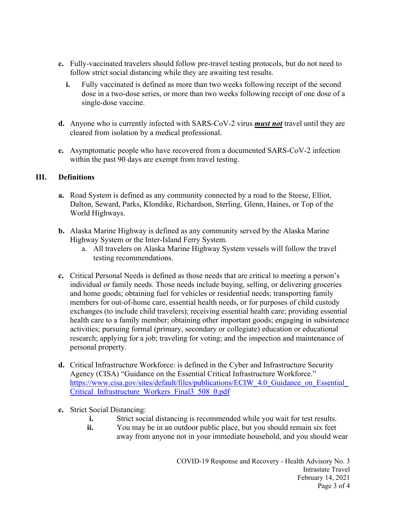- **c.** Fully-vaccinated travelers should follow pre-travel testing protocols, but do not need to follow strict social distancing while they are awaiting test results.
	- **i.** Fully vaccinated is defined as more than two weeks following receipt of the second dose in a two-dose series, or more than two weeks following receipt of one dose of a single-dose vaccine.
- **d.** Anyone who is currently infected with SARS-CoV-2 virus *must not* travel until they are cleared from isolation by a medical professional.
- **e.** Asymptomatic people who have recovered from a documented SARS-CoV-2 infection within the past 90 days are exempt from travel testing.

#### **III. Definitions**

- **a.** Road System is defined as any community connected by a road to the Steese, Elliot, Dalton, Seward, Parks, Klondike, Richardson, Sterling, Glenn, Haines, or Top of the World Highways.
- **b.** Alaska Marine Highway is defined as any community served by the Alaska Marine Highway System or the Inter-Island Ferry System.
	- a. All travelers on Alaska Marine Highway System vessels will follow the travel testing recommendations.
- **c.** Critical Personal Needs is defined as those needs that are critical to meeting a person's individual or family needs. Those needs include buying, selling, or delivering groceries and home goods; obtaining fuel for vehicles or residential needs; transporting family members for out-of-home care, essential health needs, or for purposes of child custody exchanges (to include child travelers); receiving essential health care; providing essential health care to a family member; obtaining other important goods; engaging in subsistence activities; pursuing formal (primary, secondary or collegiate) education or educational research; applying for a job; traveling for voting; and the inspection and maintenance of personal property.
- **d.** Critical Infrastructure Workforce: is defined in the Cyber and Infrastructure Security Agency (CISA) "Guidance on the Essential Critical Infrastructure Workforce." https://www.cisa.gov/sites/default/files/publications/ECIW 4.0 Guidance on Essential [Critical\\_Infrastructure\\_Workers\\_Final3\\_508\\_0.pdf](https://www.cisa.gov/sites/default/files/publications/ECIW_4.0_Guidance_on_Essential_Critical_Infrastructure_Workers_Final3_508_0.pdf)
- **e.** Strict Social Distancing:
	- **i.** Strict social distancing is recommended while you wait for test results.
	- **ii.** You may be in an outdoor public place, but you should remain six feet away from anyone not in your immediate household, and you should wear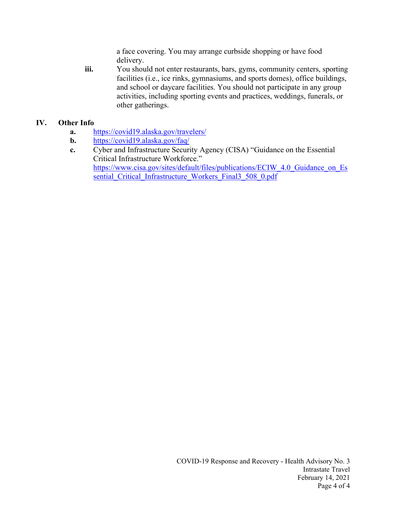a face covering. You may arrange curbside shopping or have food delivery.

**iii.** You should not enter restaurants, bars, gyms, community centers, sporting facilities (i.e., ice rinks, gymnasiums, and sports domes), office buildings, and school or daycare facilities. You should not participate in any group activities, including sporting events and practices, weddings, funerals, or other gatherings.

#### **IV. Other Info**

- **a.** <https://covid19.alaska.gov/travelers/>
- **b.** <https://covid19.alaska.gov/faq/>
- **c.** Cyber and Infrastructure Security Agency (CISA) "Guidance on the Essential Critical Infrastructure Workforce." [https://www.cisa.gov/sites/default/files/publications/ECIW\\_4.0\\_Guidance\\_on\\_Es](https://www.cisa.gov/sites/default/files/publications/ECIW_4.0_Guidance_on_Essential_Critical_Infrastructure_Workers_Final3_508_0.pdf) [sential\\_Critical\\_Infrastructure\\_Workers\\_Final3\\_508\\_0.pdf](https://www.cisa.gov/sites/default/files/publications/ECIW_4.0_Guidance_on_Essential_Critical_Infrastructure_Workers_Final3_508_0.pdf)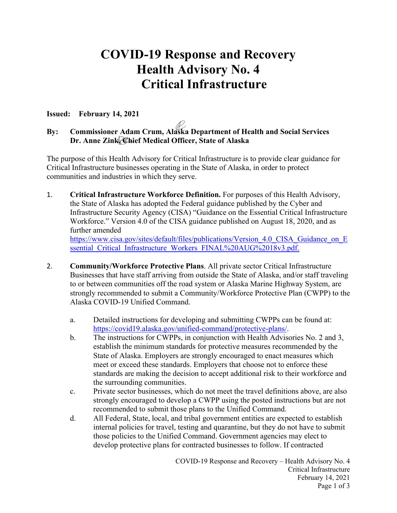# **COVID-19 Response and Recovery Health Advisory No. 4 Critical Infrastructure**

#### **Issued: February 14, 2021**

# **By: Commissioner Adam Crum, Alaska Department of Health and Social Services Dr. Anne Zink, Chief Medical Officer, State of Alaska**

The purpose of this Health Advisory for Critical Infrastructure is to provide clear guidance for Critical Infrastructure businesses operating in the State of Alaska, in order to protect communities and industries in which they serve.

1. **Critical Infrastructure Workforce Definition.** For purposes of this Health Advisory, the State of Alaska has adopted the Federal guidance published by the Cyber and Infrastructure Security Agency (CISA) "Guidance on the Essential Critical Infrastructure Workforce." Version 4.0 of the CISA guidance published on August 18, 2020, and as further amended https://www.cisa.gov/sites/default/files/publications/Version 4.0 CISA Guidance on E

[ssential\\_Critical\\_Infrastructure\\_Workers\\_FINAL%20AUG%2018v3.pdf.](https://www.cisa.gov/sites/default/files/publications/Version_4.0_CISA_Guidance_on_Essential_Critical_Infrastructure_Workers_FINAL%20AUG%2018v3.pdf)

- 2. **Community/Workforce Protective Plans**. All private sector Critical Infrastructure Businesses that have staff arriving from outside the State of Alaska, and/or staff traveling to or between communities off the road system or Alaska Marine Highway System, are strongly recommended to submit a Community/Workforce Protective Plan (CWPP) to the Alaska COVID-19 Unified Command.
	- a. Detailed instructions for developing and submitting CWPPs can be found at: [https://covid19.alaska.gov/unified-command/protective-plans/.](https://covid19.alaska.gov/unified-command/protective-plans/)
	- b. The instructions for CWPPs, in conjunction with Health Advisories No. 2 and 3, establish the minimum standards for protective measures recommended by the State of Alaska. Employers are strongly encouraged to enact measures which meet or exceed these standards. Employers that choose not to enforce these standards are making the decision to accept additional risk to their workforce and the surrounding communities.
	- c. Private sector businesses, which do not meet the travel definitions above, are also strongly encouraged to develop a CWPP using the posted instructions but are not recommended to submit those plans to the Unified Command.
	- d. All Federal, State, local, and tribal government entities are expected to establish internal policies for travel, testing and quarantine, but they do not have to submit those policies to the Unified Command. Government agencies may elect to develop protective plans for contracted businesses to follow. If contracted

COVID-19 Response and Recovery – Health Advisory No. 4 Critical Infrastructure February 14, 2021 Page 1 of 3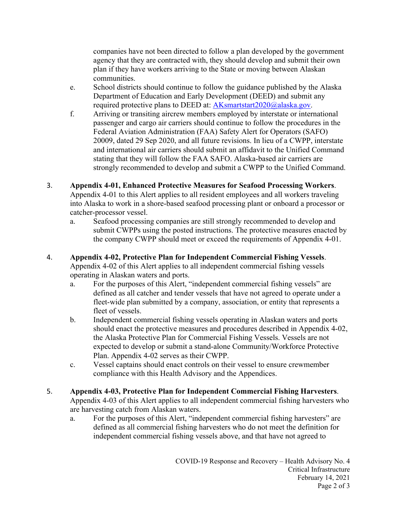companies have not been directed to follow a plan developed by the government agency that they are contracted with, they should develop and submit their own plan if they have workers arriving to the State or moving between Alaskan communities.

- e. School districts should continue to follow the guidance published by the Alaska Department of Education and Early Development (DEED) and submit any required protective plans to DEED at: [AKsmartstart2020@alaska.gov.](mailto:AKsmartstart2020@alaska.gov)
- f. Arriving or transiting aircrew members employed by interstate or international passenger and cargo air carriers should continue to follow the procedures in the Federal Aviation Administration (FAA) Safety Alert for Operators (SAFO) 20009, dated 29 Sep 2020, and all future revisions. In lieu of a CWPP, interstate and international air carriers should submit an affidavit to the Unified Command stating that they will follow the FAA SAFO. Alaska-based air carriers are strongly recommended to develop and submit a CWPP to the Unified Command.
- 3. **Appendix 4-01, Enhanced Protective Measures for Seafood Processing Workers**. Appendix 4-01 to this Alert applies to all resident employees and all workers traveling into Alaska to work in a shore-based seafood processing plant or onboard a processor or catcher-processor vessel.
	- a. Seafood processing companies are still strongly recommended to develop and submit CWPPs using the posted instructions. The protective measures enacted by the company CWPP should meet or exceed the requirements of Appendix 4-01.
- 4. **Appendix 4-02, Protective Plan for Independent Commercial Fishing Vessels**. Appendix 4-02 of this Alert applies to all independent commercial fishing vessels operating in Alaskan waters and ports.
	- a. For the purposes of this Alert, "independent commercial fishing vessels" are defined as all catcher and tender vessels that have not agreed to operate under a fleet-wide plan submitted by a company, association, or entity that represents a fleet of vessels.
	- b. Independent commercial fishing vessels operating in Alaskan waters and ports should enact the protective measures and procedures described in Appendix 4-02, the Alaska Protective Plan for Commercial Fishing Vessels. Vessels are not expected to develop or submit a stand-alone Community/Workforce Protective Plan. Appendix 4-02 serves as their CWPP.
	- c. Vessel captains should enact controls on their vessel to ensure crewmember compliance with this Health Advisory and the Appendices.
- 5. **Appendix 4-03, Protective Plan for Independent Commercial Fishing Harvesters**. Appendix 4-03 of this Alert applies to all independent commercial fishing harvesters who are harvesting catch from Alaskan waters.
	- a. For the purposes of this Alert, "independent commercial fishing harvesters" are defined as all commercial fishing harvesters who do not meet the definition for independent commercial fishing vessels above, and that have not agreed to